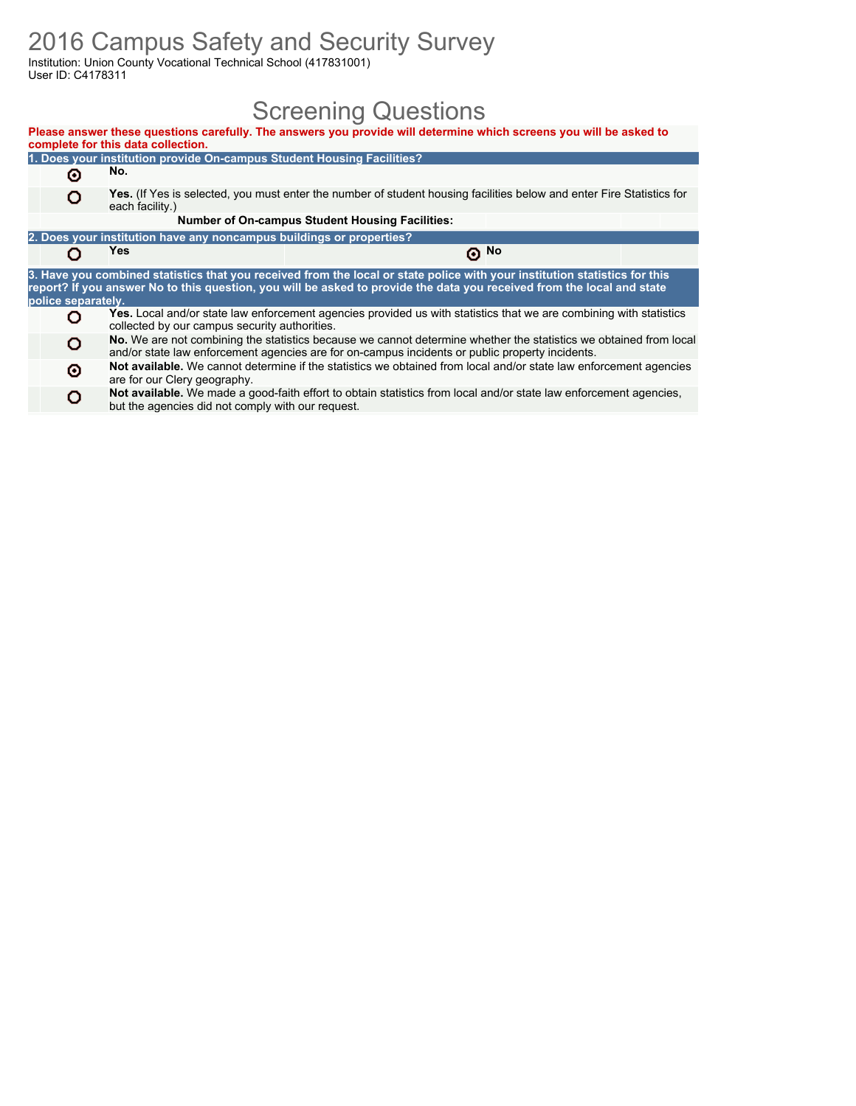### 2016 Campus Safety and Security Survey

but the agencies did not comply with our request.

Institution: Union County Vocational Technical School (417831001) User ID: C4178311

## Screening Questions

|                    | complete for this data collection.                                                                                                       | Please answer these questions carefully. The answers you provide will determine which screens you will be asked to                                                                                                                                   |       |  |  |  |  |  |  |  |  |
|--------------------|------------------------------------------------------------------------------------------------------------------------------------------|------------------------------------------------------------------------------------------------------------------------------------------------------------------------------------------------------------------------------------------------------|-------|--|--|--|--|--|--|--|--|
|                    | 1. Does your institution provide On-campus Student Housing Facilities?                                                                   |                                                                                                                                                                                                                                                      |       |  |  |  |  |  |  |  |  |
| Θ                  | No.                                                                                                                                      |                                                                                                                                                                                                                                                      |       |  |  |  |  |  |  |  |  |
| o                  | Yes. (If Yes is selected, you must enter the number of student housing facilities below and enter Fire Statistics for<br>each facility.) |                                                                                                                                                                                                                                                      |       |  |  |  |  |  |  |  |  |
|                    |                                                                                                                                          | <b>Number of On-campus Student Housing Facilities:</b>                                                                                                                                                                                               |       |  |  |  |  |  |  |  |  |
|                    | 2. Does your institution have any noncampus buildings or properties?                                                                     |                                                                                                                                                                                                                                                      |       |  |  |  |  |  |  |  |  |
|                    | Yes                                                                                                                                      |                                                                                                                                                                                                                                                      | டு No |  |  |  |  |  |  |  |  |
| police separately. |                                                                                                                                          | 3. Have you combined statistics that you received from the local or state police with your institution statistics for this<br>report? If you answer No to this question, you will be asked to provide the data you received from the local and state |       |  |  |  |  |  |  |  |  |
|                    | collected by our campus security authorities.                                                                                            | Yes. Local and/or state law enforcement agencies provided us with statistics that we are combining with statistics                                                                                                                                   |       |  |  |  |  |  |  |  |  |
| o                  |                                                                                                                                          | No. We are not combining the statistics because we cannot determine whether the statistics we obtained from local<br>and/or state law enforcement agencies are for on-campus incidents or public property incidents.                                 |       |  |  |  |  |  |  |  |  |
| Θ                  | are for our Clery geography.                                                                                                             | Not available. We cannot determine if the statistics we obtained from local and/or state law enforcement agencies                                                                                                                                    |       |  |  |  |  |  |  |  |  |
|                    | but the agencies did not comply with our request                                                                                         | Not available. We made a good-faith effort to obtain statistics from local and/or state law enforcement agencies,                                                                                                                                    |       |  |  |  |  |  |  |  |  |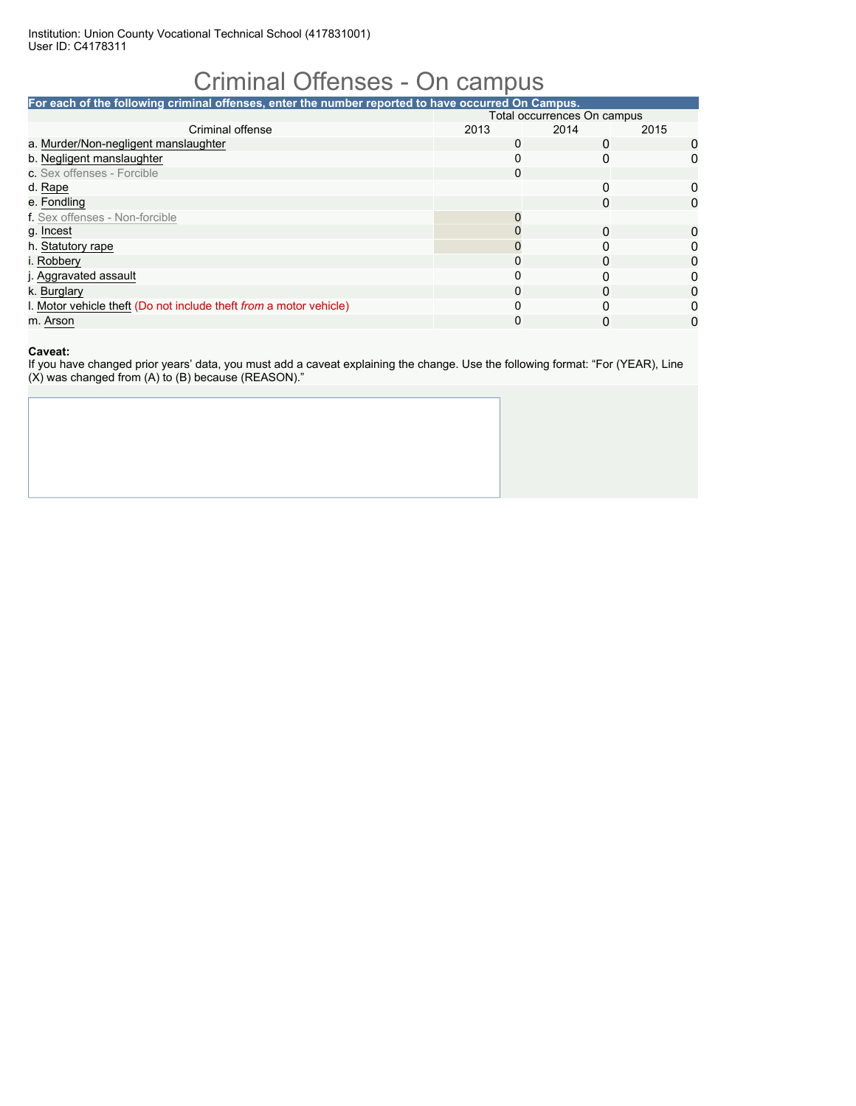# Criminal Offenses - On campus

| For each of the following criminal offenses, enter the number reported to have occurred On Campus. |                             |      |              |  |  |  |  |  |  |  |
|----------------------------------------------------------------------------------------------------|-----------------------------|------|--------------|--|--|--|--|--|--|--|
|                                                                                                    | Total occurrences On campus |      |              |  |  |  |  |  |  |  |
| Criminal offense                                                                                   | 2013                        | 2014 | 2015         |  |  |  |  |  |  |  |
| a. Murder/Non-negligent manslaughter                                                               | 0                           |      |              |  |  |  |  |  |  |  |
| b. Negligent manslaughter                                                                          | 0                           |      | 0            |  |  |  |  |  |  |  |
| c. Sex offenses - Forcible                                                                         | 0                           |      |              |  |  |  |  |  |  |  |
| d. Rape                                                                                            |                             | O    | 0            |  |  |  |  |  |  |  |
| e. Fondling                                                                                        |                             | 0    | 0            |  |  |  |  |  |  |  |
| f. Sex offenses - Non-forcible                                                                     |                             |      |              |  |  |  |  |  |  |  |
| g. Incest                                                                                          |                             | 0    | 0            |  |  |  |  |  |  |  |
| h. Statutory rape                                                                                  |                             | ŋ    | <sup>n</sup> |  |  |  |  |  |  |  |
| i. Robbery                                                                                         |                             |      | O            |  |  |  |  |  |  |  |
| j. Aggravated assault                                                                              | $\Omega$                    | ŋ    |              |  |  |  |  |  |  |  |
| k. Burglary                                                                                        | $\Omega$                    | O    |              |  |  |  |  |  |  |  |
| I. Motor vehicle theft (Do not include theft from a motor vehicle)                                 | $\Omega$                    |      |              |  |  |  |  |  |  |  |
| m. Arson                                                                                           | 0                           |      | 0            |  |  |  |  |  |  |  |

### **Caveat:**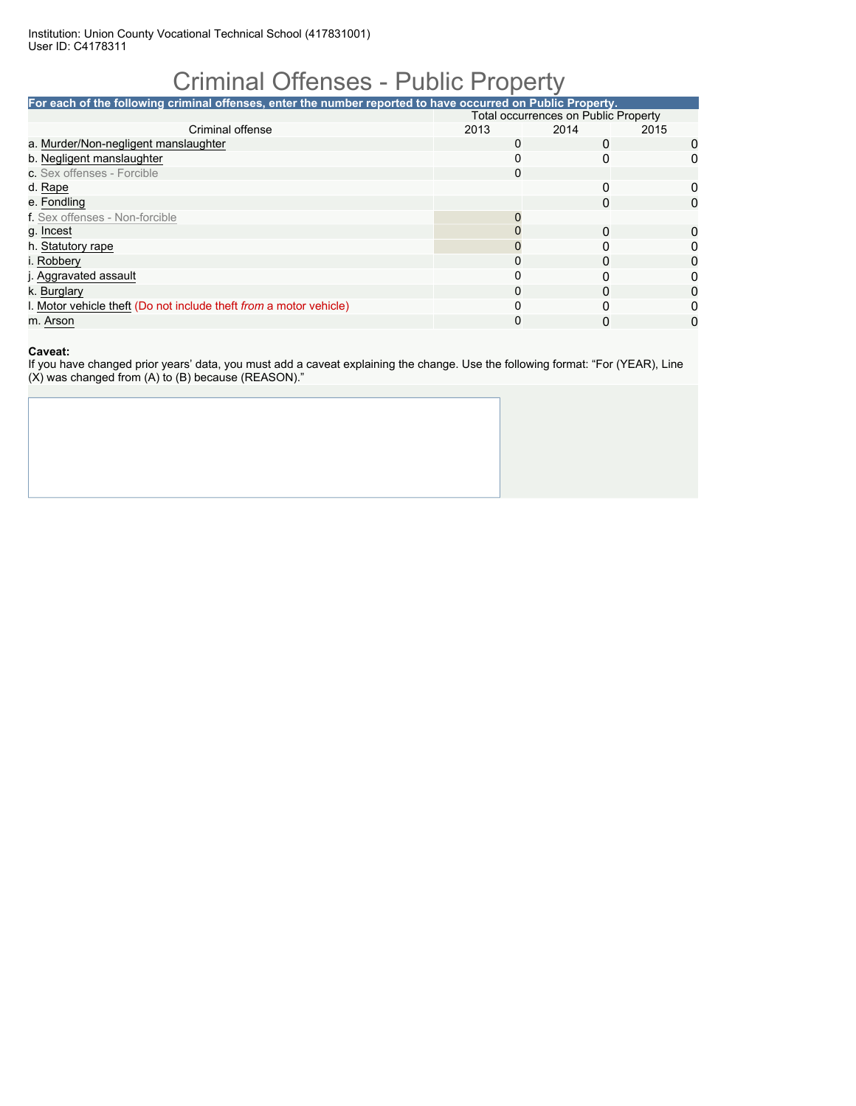## Criminal Offenses - Public Property

| <b>Total occurrences on Public Property</b> |          |      |                                                                                                             |  |
|---------------------------------------------|----------|------|-------------------------------------------------------------------------------------------------------------|--|
| 2013                                        | 2014     | 2015 |                                                                                                             |  |
| $\Omega$                                    |          |      | 0                                                                                                           |  |
| $\Omega$                                    | 0        |      |                                                                                                             |  |
| 0                                           |          |      |                                                                                                             |  |
|                                             | 0        |      | 0                                                                                                           |  |
|                                             | 0        |      | 0                                                                                                           |  |
|                                             |          |      |                                                                                                             |  |
|                                             | $\Omega$ |      | 0                                                                                                           |  |
|                                             |          |      |                                                                                                             |  |
| 0                                           | 0        |      | O                                                                                                           |  |
| $\Omega$                                    |          |      |                                                                                                             |  |
| 0                                           |          |      |                                                                                                             |  |
| $\Omega$                                    |          |      |                                                                                                             |  |
| 0                                           |          |      | O)                                                                                                          |  |
|                                             |          |      | For each of the following criminal offenses, enter the number reported to have occurred on Public Property. |  |

### **Caveat:**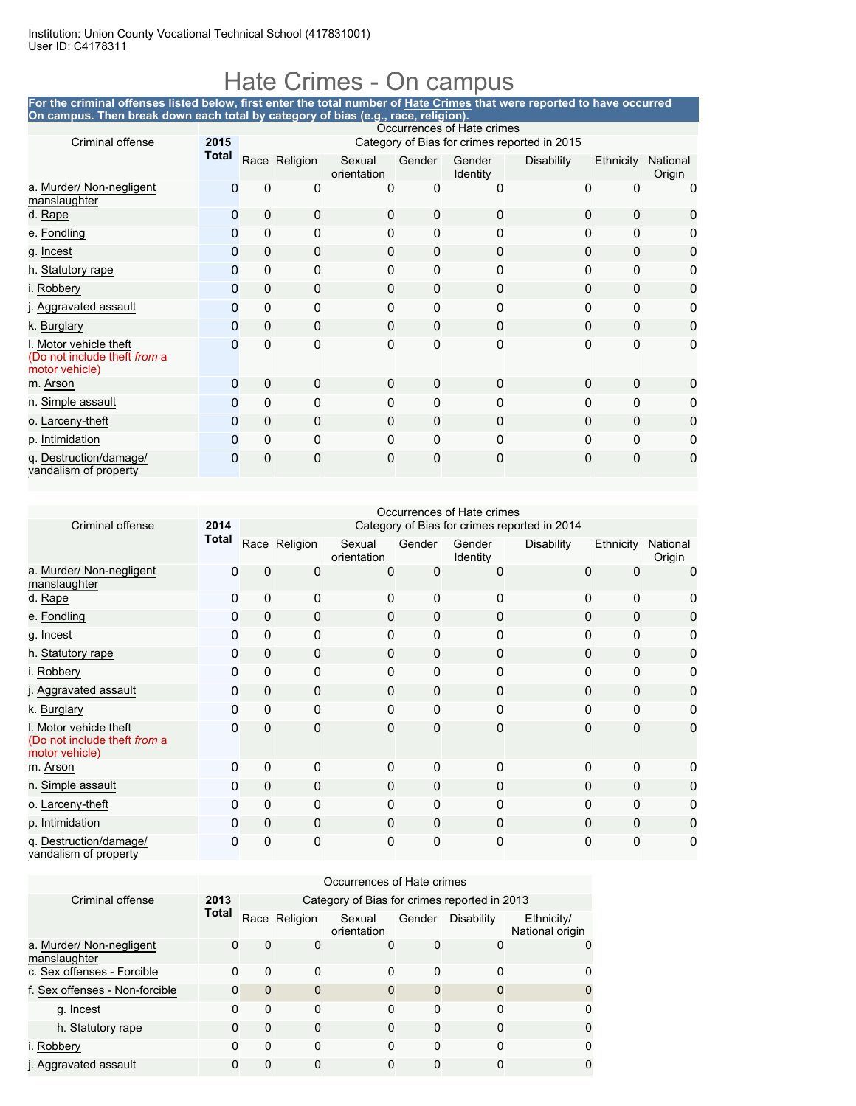### Hate Crimes - On campus

#### **For the criminal offenses listed below, first enter the total number of Hate Crimes that were reported to have occurred On campus. Then break down each total by category of bias (e.g., race, religion).**

|                                                                          | Occurrences of Hate crimes |                                              |               |                       |             |                    |                   |              |                    |  |  |  |
|--------------------------------------------------------------------------|----------------------------|----------------------------------------------|---------------|-----------------------|-------------|--------------------|-------------------|--------------|--------------------|--|--|--|
| Criminal offense                                                         | 2015                       | Category of Bias for crimes reported in 2015 |               |                       |             |                    |                   |              |                    |  |  |  |
|                                                                          | <b>Total</b>               |                                              | Race Religion | Sexual<br>orientation | Gender      | Gender<br>Identity | <b>Disability</b> | Ethnicity    | National<br>Origin |  |  |  |
| a. Murder/ Non-negligent<br>manslaughter                                 | 0                          | 0                                            | 0             | 0                     | 0           | 0                  | 0                 | 0            | 0                  |  |  |  |
| d. Rape                                                                  | 0                          | $\mathbf{0}$                                 | 0             | 0                     | 0           | 0                  | $\Omega$          | $\mathbf{0}$ | 0                  |  |  |  |
| e. Fondling                                                              | 0                          | $\Omega$                                     | 0             | 0                     | $\Omega$    | 0                  | $\Omega$          | 0            | 0                  |  |  |  |
| g. Incest                                                                | 0                          | $\mathbf{0}$                                 | 0             | 0                     | 0           | 0                  | $\Omega$          | $\mathbf{0}$ | 0                  |  |  |  |
| h. Statutory rape                                                        | 0                          | 0                                            | 0             | 0                     | $\Omega$    | 0                  | $\Omega$          | $\Omega$     | 0                  |  |  |  |
| i. Robbery                                                               | 0                          | $\mathbf 0$                                  | 0             | 0                     | $\mathbf 0$ | 0                  | $\Omega$          | $\Omega$     | 0                  |  |  |  |
| j. Aggravated assault                                                    | $\Omega$                   | $\Omega$                                     | 0             | 0                     | 0           | 0                  | $\mathbf{0}$      | $\Omega$     | 0                  |  |  |  |
| k. Burglary                                                              | $\Omega$                   | $\mathbf{0}$                                 | $\mathbf 0$   | 0                     | 0           | 0                  | $\Omega$          | $\Omega$     | 0                  |  |  |  |
| I. Motor vehicle theft<br>(Do not include theft from a<br>motor vehicle) | O                          | $\mathbf{0}$                                 | 0             | 0                     | 0           | 0                  | $\mathbf{0}$      | $\mathbf{0}$ | $\mathbf{0}$       |  |  |  |
| m. Arson                                                                 | 0                          | $\mathbf 0$                                  | 0             | $\mathbf 0$           | 0           | 0                  | $\Omega$          | 0            | 0                  |  |  |  |
| n. Simple assault                                                        | 0                          | $\Omega$                                     | 0             | 0                     | $\Omega$    | 0                  | $\Omega$          | $\Omega$     | 0                  |  |  |  |
| o. Larceny-theft                                                         | $\Omega$                   | $\mathbf{0}$                                 | $\mathbf 0$   | 0                     | $\mathbf 0$ | 0                  | $\Omega$          | $\Omega$     | 0                  |  |  |  |
| p. Intimidation                                                          | $\Omega$                   | $\Omega$                                     | 0             | 0                     | $\Omega$    | 0                  | $\Omega$          | 0            | 0                  |  |  |  |
| q. Destruction/damage/<br>vandalism of property                          | 0                          | 0                                            | 0             | 0                     | 0           | 0                  | $\Omega$          | 0            | 0                  |  |  |  |

|                                                                          |              |                                              |               |                       |              | Occurrences of Hate crimes |            |              |                    |  |  |  |
|--------------------------------------------------------------------------|--------------|----------------------------------------------|---------------|-----------------------|--------------|----------------------------|------------|--------------|--------------------|--|--|--|
| Criminal offense                                                         | 2014         | Category of Bias for crimes reported in 2014 |               |                       |              |                            |            |              |                    |  |  |  |
|                                                                          | <b>Total</b> |                                              | Race Religion | Sexual<br>orientation | Gender       | Gender<br>Identity         | Disability | Ethnicity    | National<br>Origin |  |  |  |
| a. Murder/ Non-negligent<br>manslaughter                                 | 0            | 0                                            | 0             | 0                     | 0            | 0                          | 0          | 0            | 0                  |  |  |  |
| d. Rape                                                                  | 0            | $\Omega$                                     | 0             | 0                     | $\Omega$     | 0                          | 0          | $\mathbf{0}$ | 0                  |  |  |  |
| e. Fondling                                                              | 0            | $\mathbf 0$                                  | $\mathbf 0$   | $\Omega$              | 0            | 0                          | $\Omega$   | 0            | 0                  |  |  |  |
| g. Incest                                                                | 0            | $\Omega$                                     | $\mathbf 0$   | $\Omega$              | $\Omega$     | $\Omega$                   | $\Omega$   | $\mathbf{0}$ | 0                  |  |  |  |
| h. Statutory rape                                                        | $\mathbf 0$  | $\mathbf{0}$                                 | $\mathbf 0$   | $\Omega$              | $\mathbf{0}$ | 0                          | 0          | 0            | 0                  |  |  |  |
| i. Robbery                                                               | 0            | $\Omega$                                     | 0             | $\Omega$              | $\Omega$     | 0                          | 0          | $\mathbf{0}$ | 0                  |  |  |  |
| j. Aggravated assault                                                    | 0            | $\Omega$                                     | $\mathbf{0}$  | $\Omega$              | 0            | 0                          | 0          | $\Omega$     | 0                  |  |  |  |
| k. Burglary                                                              | 0            | $\Omega$                                     | $\mathbf 0$   | $\mathbf{0}$          | 0            | 0                          | 0          | $\Omega$     | 0                  |  |  |  |
| I. Motor vehicle theft<br>(Do not include theft from a<br>motor vehicle) | $\Omega$     | 0                                            | $\mathbf 0$   | $\mathbf 0$           | $\mathbf{0}$ | 0                          | 0          | $\Omega$     | 0                  |  |  |  |
| m. Arson                                                                 | $\Omega$     | $\Omega$                                     | 0             | $\Omega$              | $\Omega$     | 0                          | $\Omega$   | $\mathbf{0}$ | 0                  |  |  |  |
| n. Simple assault                                                        | $\Omega$     | 0                                            | $\mathbf 0$   | $\Omega$              | $\Omega$     | 0                          | $\Omega$   | 0            | 0                  |  |  |  |
| o. Larceny-theft                                                         | $\Omega$     | 0                                            | $\mathbf 0$   | 0                     | $\Omega$     | 0                          | $\Omega$   | $\Omega$     | 0                  |  |  |  |
| p. Intimidation                                                          | $\Omega$     | $\mathbf 0$                                  | $\mathbf 0$   | 0                     | 0            | 0                          | $\Omega$   | $\Omega$     | 0                  |  |  |  |
| q. Destruction/damage/<br>vandalism of property                          | 0            | 0                                            | $\mathbf 0$   | 0                     | 0            | 0                          | 0          | $\mathbf{0}$ | 0                  |  |  |  |

|                                          | Occurrences of Hate crimes |                                              |               |                       |        |                   |                               |  |  |  |  |
|------------------------------------------|----------------------------|----------------------------------------------|---------------|-----------------------|--------|-------------------|-------------------------------|--|--|--|--|
| Criminal offense                         | 2013                       | Category of Bias for crimes reported in 2013 |               |                       |        |                   |                               |  |  |  |  |
|                                          | <b>Total</b>               |                                              | Race Religion | Sexual<br>orientation | Gender | <b>Disability</b> | Ethnicity/<br>National origin |  |  |  |  |
| a. Murder/ Non-negligent<br>manslaughter | 0                          | 0                                            | 0             | O                     | 0      | 0                 | $\Omega$                      |  |  |  |  |
| c. Sex offenses - Forcible               | 0                          | 0                                            | 0             | 0                     | 0      | 0                 | 0                             |  |  |  |  |
| f. Sex offenses - Non-forcible           | 0                          | 0                                            | $\mathbf 0$   | 0                     | 0      | $\Omega$          | 0                             |  |  |  |  |
| g. Incest                                | 0                          | 0                                            | 0             | 0                     | 0      | 0                 | 0                             |  |  |  |  |
| h. Statutory rape                        | 0                          | 0                                            | 0             | 0                     | 0      | 0                 | $\Omega$                      |  |  |  |  |
| i. Robberv                               | 0                          | 0                                            | 0             | 0                     | 0      | 0                 | 0                             |  |  |  |  |
| j. Aggravated assault                    | 0                          | 0                                            | 0             | 0                     | 0      | 0                 | 0                             |  |  |  |  |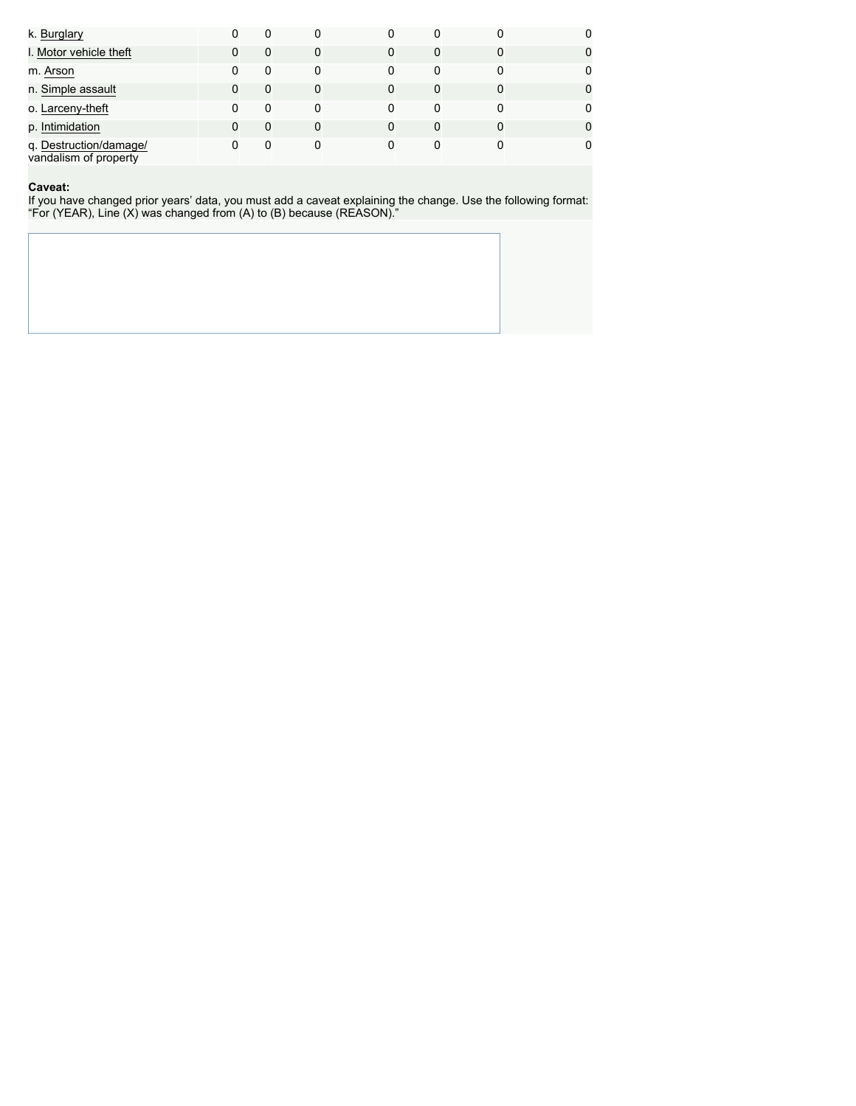| k. Burglary                                     | 0 | 0 | 0 | 0        | 0 |   | 0 |
|-------------------------------------------------|---|---|---|----------|---|---|---|
| I. Motor vehicle theft                          |   | 0 | 0 | $\Omega$ | 0 | 0 | 0 |
| m. Arson                                        | 0 | 0 | 0 | 0        | 0 | 0 | 0 |
| n. Simple assault                               |   | 0 | 0 | 0        | 0 | 0 | 0 |
| o. Larceny-theft                                |   | 0 | 0 | 0        | 0 | 0 | 0 |
| p. Intimidation                                 |   | 0 | 0 | $\Omega$ | 0 | 0 | 0 |
| q. Destruction/damage/<br>vandalism of property |   | 0 | 0 |          | 0 |   |   |

#### **Caveat:**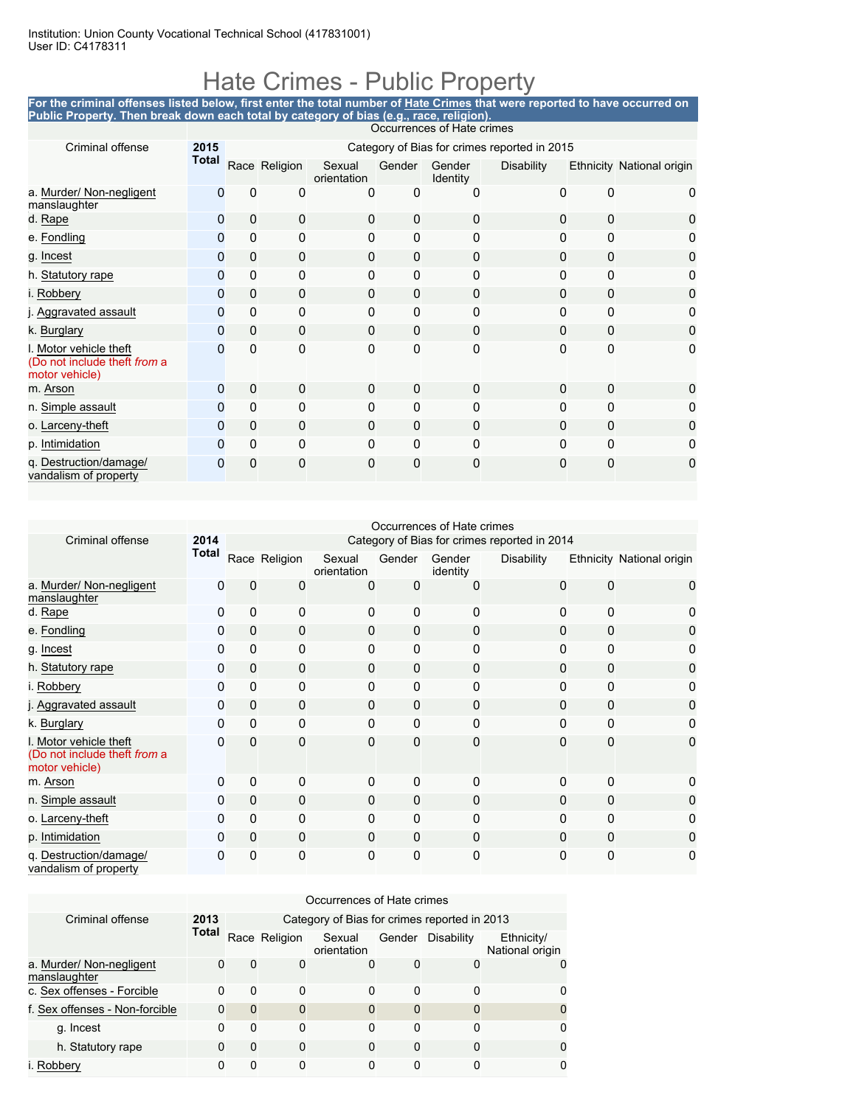### Hate Crimes - Public Property

**For the criminal offenses listed below, first enter the total number of Hate Crimes that were reported to have occurred on Public Property. Then break down each total by category of bias (e.g., race, religion).** Occurrences of Hate c

|                                                                          | OCCUITENCES OF FIGILE CHILICS |                                              |               |                       |              |                    |            |   |                           |  |  |  |
|--------------------------------------------------------------------------|-------------------------------|----------------------------------------------|---------------|-----------------------|--------------|--------------------|------------|---|---------------------------|--|--|--|
| Criminal offense                                                         | 2015                          | Category of Bias for crimes reported in 2015 |               |                       |              |                    |            |   |                           |  |  |  |
|                                                                          | <b>Total</b>                  |                                              | Race Religion | Sexual<br>orientation | Gender       | Gender<br>Identity | Disability |   | Ethnicity National origin |  |  |  |
| a. Murder/ Non-negligent<br>manslaughter                                 | O                             | 0                                            | 0             | 0                     | 0            | O                  | $\Omega$   | n |                           |  |  |  |
| d. Rape                                                                  | $\Omega$                      | $\Omega$                                     | 0             | $\mathbf 0$           | $\mathbf{0}$ | 0                  | $\Omega$   | 0 | 0                         |  |  |  |
| e. Fondling                                                              | $\Omega$                      | 0                                            | $\Omega$      | 0                     | $\Omega$     | 0                  | $\Omega$   | O |                           |  |  |  |
| g. Incest                                                                | 0                             | 0                                            | 0             | 0                     | $\Omega$     | 0                  | 0          | 0 | 0                         |  |  |  |
| h. Statutory rape                                                        | 0                             | 0                                            | 0             | 0                     | $\Omega$     | 0                  | $\Omega$   | 0 | 0                         |  |  |  |
| i. Robbery                                                               | 0                             | 0                                            | 0             | 0                     | $\Omega$     | 0                  | 0          | 0 | 0                         |  |  |  |
| j. Aggravated assault                                                    | 0                             | 0                                            | 0             | 0                     | $\mathbf{0}$ | 0                  | 0          | 0 | 0                         |  |  |  |
| k. Burglary                                                              | 0                             | 0                                            | 0             | 0                     | $\Omega$     | 0                  | $\Omega$   | 0 | 0                         |  |  |  |
| I. Motor vehicle theft<br>(Do not include theft from a<br>motor vehicle) | $\Omega$                      | 0                                            | 0             | 0                     | 0            | $\Omega$           | $\Omega$   | 0 | 0                         |  |  |  |
| m. Arson                                                                 | $\Omega$                      | 0                                            | 0             | $\mathbf 0$           | $\Omega$     | 0                  | $\Omega$   | 0 |                           |  |  |  |
| n. Simple assault                                                        | 0                             | 0                                            | 0             | 0                     | $\mathbf{0}$ | 0                  | $\Omega$   | 0 | O                         |  |  |  |
| o. Larceny-theft                                                         | 0                             | 0                                            | 0             | 0                     | $\Omega$     | 0                  | $\Omega$   | 0 | 0                         |  |  |  |
| p. Intimidation                                                          | 0                             | 0                                            | 0             | 0                     | $\Omega$     | 0                  | $\Omega$   | 0 | 0                         |  |  |  |
| q. Destruction/damage/<br>vandalism of property                          | 0                             | 0                                            | 0             | 0                     | $\mathbf 0$  | 0                  | 0          | Ω | 0                         |  |  |  |

|                                                                          |              |                                              |               |                       |          | Occurrences of Hate crimes |                   |          |                           |  |  |  |
|--------------------------------------------------------------------------|--------------|----------------------------------------------|---------------|-----------------------|----------|----------------------------|-------------------|----------|---------------------------|--|--|--|
| Criminal offense                                                         | 2014         | Category of Bias for crimes reported in 2014 |               |                       |          |                            |                   |          |                           |  |  |  |
|                                                                          | <b>Total</b> |                                              | Race Religion | Sexual<br>orientation | Gender   | Gender<br>identity         | <b>Disability</b> |          | Ethnicity National origin |  |  |  |
| a. Murder/ Non-negligent<br>manslaughter                                 | 0            | 0                                            | 0             | 0                     | 0        | 0                          | 0                 | 0        | 0                         |  |  |  |
| d. Rape                                                                  | 0            | 0                                            | 0             | 0                     | 0        | 0                          | 0                 | 0        |                           |  |  |  |
| e. Fondling                                                              | 0            | 0                                            | 0             | 0                     | 0        | 0                          | 0                 | 0        |                           |  |  |  |
| g. Incest                                                                | 0            | 0                                            | $\Omega$      | 0                     | $\Omega$ | 0                          | 0                 | 0        |                           |  |  |  |
| h. Statutory rape                                                        | 0            | 0                                            | 0             | $\Omega$              | $\Omega$ | $\Omega$                   | $\Omega$          | 0        |                           |  |  |  |
| i. Robbery                                                               | $\Omega$     | 0                                            | $\Omega$      | 0                     | 0        | 0                          | 0                 | $\Omega$ |                           |  |  |  |
| j. Aggravated assault                                                    | 0            | 0                                            | 0             | 0                     | 0        | 0                          | 0                 | 0        |                           |  |  |  |
| k. Burglary                                                              | 0            | 0                                            | $\Omega$      | $\mathbf{0}$          | $\Omega$ | 0                          | $\Omega$          | $\Omega$ |                           |  |  |  |
| l. Motor vehicle theft<br>(Do not include theft from a<br>motor vehicle) | $\Omega$     | 0                                            | 0             | 0                     | 0        | 0                          | 0                 | 0        | 0                         |  |  |  |
| m. Arson                                                                 | $\Omega$     | 0                                            | $\Omega$      | 0                     | $\Omega$ | 0                          | 0                 | 0        |                           |  |  |  |
| n. Simple assault                                                        | 0            | 0                                            | $\Omega$      | $\Omega$              | $\Omega$ | $\Omega$                   | $\Omega$          | 0        |                           |  |  |  |
| o. Larceny-theft                                                         | 0            | 0                                            | $\Omega$      | 0                     | $\Omega$ | 0                          | 0                 | 0        |                           |  |  |  |
| p. Intimidation                                                          | 0            | 0                                            | 0             | 0                     | $\Omega$ | 0                          | $\Omega$          | $\Omega$ |                           |  |  |  |
| q. Destruction/damage/<br>vandalism of property                          | 0            | 0                                            | 0             | 0                     | 0        | 0                          | 0                 | 0        | 0                         |  |  |  |

|                                          | Occurrences of Hate crimes |                                              |               |                       |        |            |                               |  |  |  |  |
|------------------------------------------|----------------------------|----------------------------------------------|---------------|-----------------------|--------|------------|-------------------------------|--|--|--|--|
| Criminal offense                         | 2013                       | Category of Bias for crimes reported in 2013 |               |                       |        |            |                               |  |  |  |  |
|                                          | <b>Total</b>               |                                              | Race Religion | Sexual<br>orientation | Gender | Disability | Ethnicity/<br>National origin |  |  |  |  |
| a. Murder/ Non-negligent<br>manslaughter | 0                          | $\Omega$                                     | 0             | 0                     | 0      | 0          |                               |  |  |  |  |
| c. Sex offenses - Forcible               | 0                          | $\Omega$                                     | 0             | 0                     | 0      | 0          |                               |  |  |  |  |
| f. Sex offenses - Non-forcible           | 0                          | $\Omega$                                     | 0             | 0                     | 0      |            |                               |  |  |  |  |
| g. Incest                                | 0                          | 0                                            | 0             | 0                     | 0      | 0          |                               |  |  |  |  |
| h. Statutory rape                        | 0                          | 0                                            | 0             | 0                     | 0      | 0          |                               |  |  |  |  |
| i. Robberv                               | 0                          | 0                                            | 0             |                       |        |            |                               |  |  |  |  |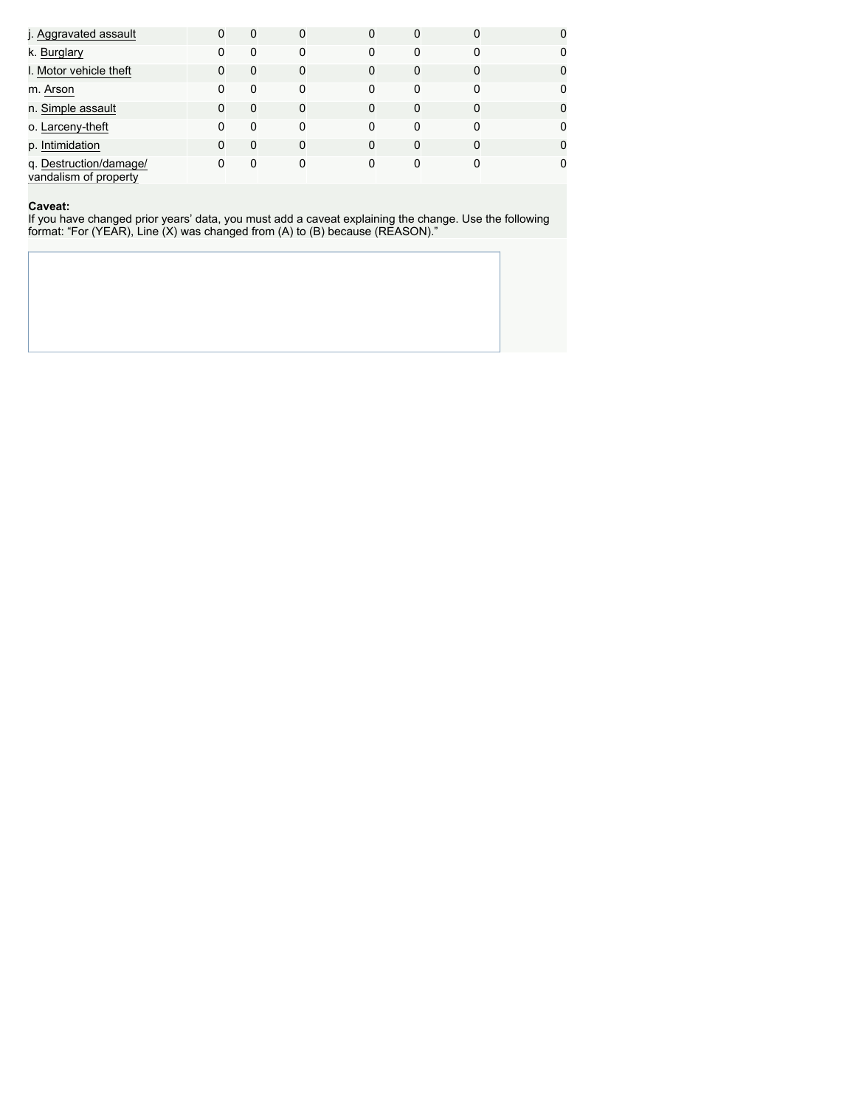| j. Aggravated assault                           | 0        | $\Omega$ | 0        |   |          | 0 |  |
|-------------------------------------------------|----------|----------|----------|---|----------|---|--|
| k. Burglary                                     | 0        | 0        | 0        |   | $\Omega$ | 0 |  |
| I. Motor vehicle theft                          | 0        | 0        | 0        | 0 | 0        | 0 |  |
| m. Arson                                        | $\Omega$ | 0        | 0        | 0 | 0        | 0 |  |
| n. Simple assault                               | 0        | 0        | $\Omega$ | 0 | $\Omega$ | 0 |  |
| o. Larceny-theft                                | 0        | 0        | 0        | 0 | 0        | 0 |  |
| p. Intimidation                                 | 0        | 0        | 0        | 0 | 0        | 0 |  |
| q. Destruction/damage/<br>vandalism of property | 0        | 0        | 0        | 0 | 0        | 0 |  |

#### **Caveat:**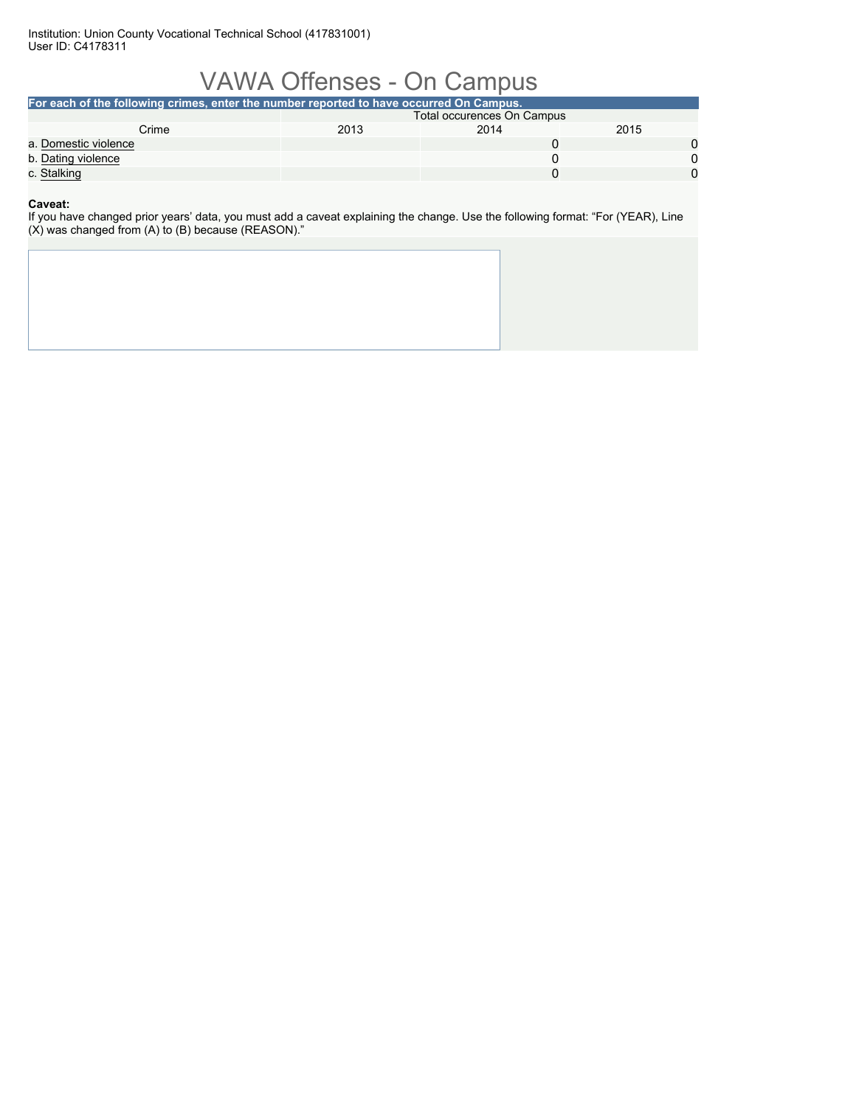Institution: Union County Vocational Technical School (417831001) User ID: C4178311

# VAWA Offenses - On Campus

| For each of the following crimes, enter the number reported to have occurred On Campus. |                            |      |      |  |  |  |  |  |
|-----------------------------------------------------------------------------------------|----------------------------|------|------|--|--|--|--|--|
|                                                                                         | Total occurences On Campus |      |      |  |  |  |  |  |
| Crime                                                                                   | 2013                       | 2014 | 2015 |  |  |  |  |  |
| a. Domestic violence                                                                    |                            |      |      |  |  |  |  |  |
| b. Dating violence                                                                      |                            |      |      |  |  |  |  |  |
| c. Stalking                                                                             |                            |      |      |  |  |  |  |  |
|                                                                                         |                            |      |      |  |  |  |  |  |

**Caveat:**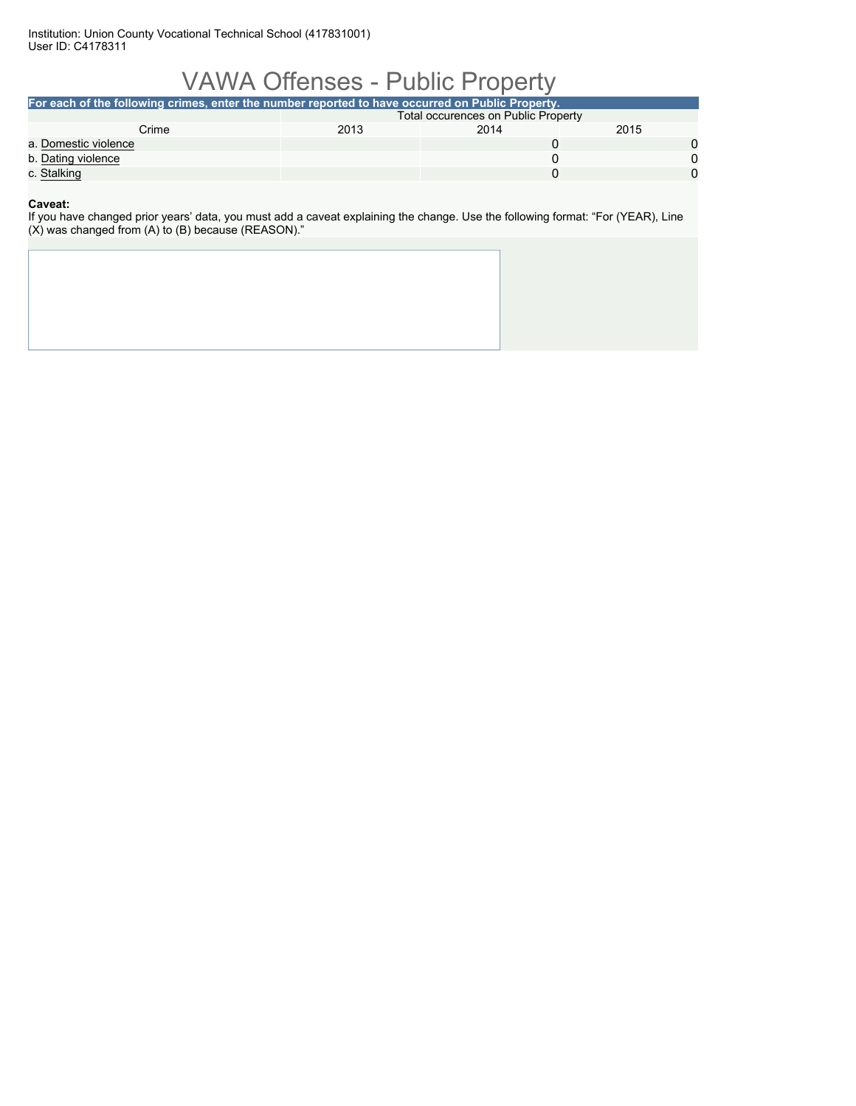Institution: Union County Vocational Technical School (417831001) User ID: C4178311

# VAWA Offenses - Public Property

| For each of the following crimes, enter the number reported to have occurred on Public Property. |                                     |      |      |  |  |  |
|--------------------------------------------------------------------------------------------------|-------------------------------------|------|------|--|--|--|
|                                                                                                  | Total occurences on Public Property |      |      |  |  |  |
| Crime                                                                                            | 2013                                | 2014 | 2015 |  |  |  |
| a. Domestic violence                                                                             |                                     |      |      |  |  |  |
| b. Dating violence                                                                               |                                     |      |      |  |  |  |
| c. Stalking                                                                                      |                                     |      |      |  |  |  |
|                                                                                                  |                                     |      |      |  |  |  |

**Caveat:**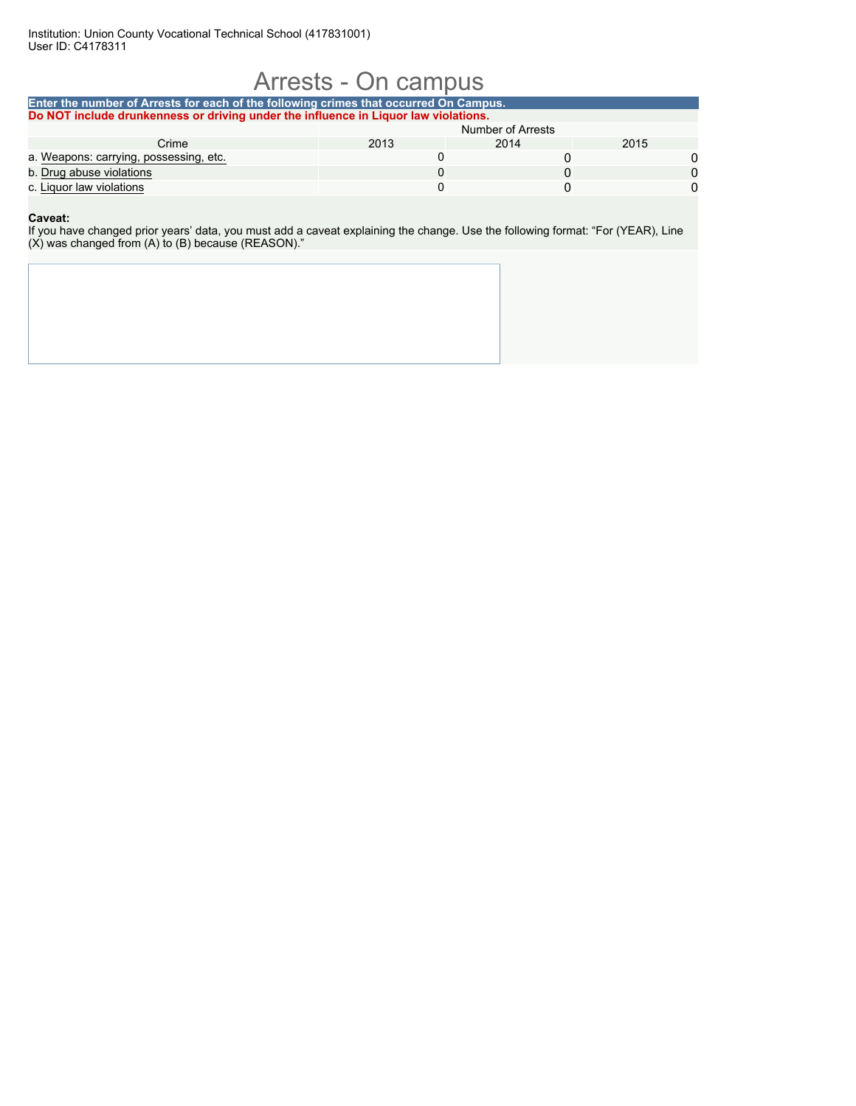# Arrests - On campus

| Enter the number of Arrests for each of the following crimes that occurred On Campus. |                   |      |      |  |  |  |  |  |
|---------------------------------------------------------------------------------------|-------------------|------|------|--|--|--|--|--|
| Do NOT include drunkenness or driving under the influence in Liguor law violations.   |                   |      |      |  |  |  |  |  |
|                                                                                       | Number of Arrests |      |      |  |  |  |  |  |
| Crime                                                                                 | 2013              | 2014 | 2015 |  |  |  |  |  |
| a. Weapons: carrying, possessing, etc.                                                |                   |      |      |  |  |  |  |  |
| b. Drug abuse violations                                                              |                   |      |      |  |  |  |  |  |
| c. Liguor law violations                                                              |                   |      |      |  |  |  |  |  |

### **Caveat:**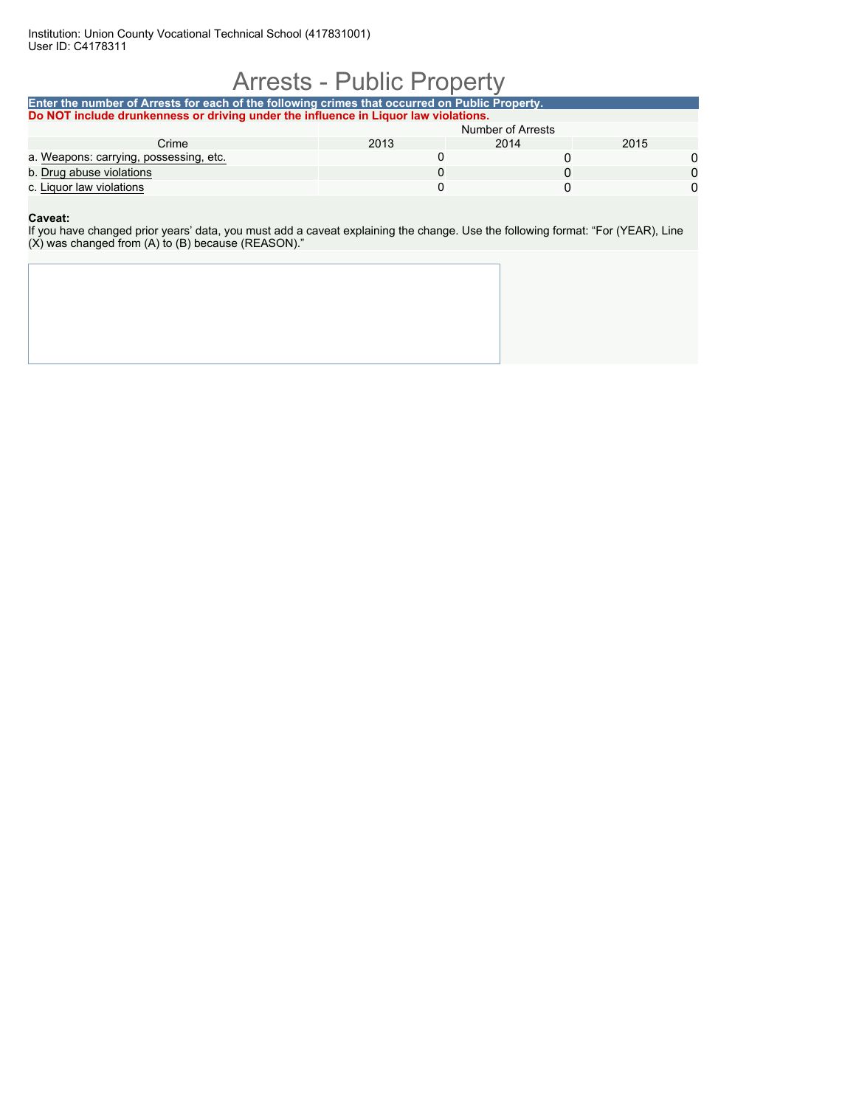### Arrests - Public Property

### **Enter the number of Arrests for each of the following crimes that occurred on Public Property. Do NOT include drunkenness or driving under the influence in Liquor law violations.** Number of Arrests Crime 2013 2014 2015 a. Weapons: carrying, possessing, etc. 0 0 0 b. Drug abuse violations 0 0 0 c. Liquor law violations and the control of the control of the control of the control of the control of the control of the control of the control of the control of the control of the control of the control of the control o

### **Caveat:**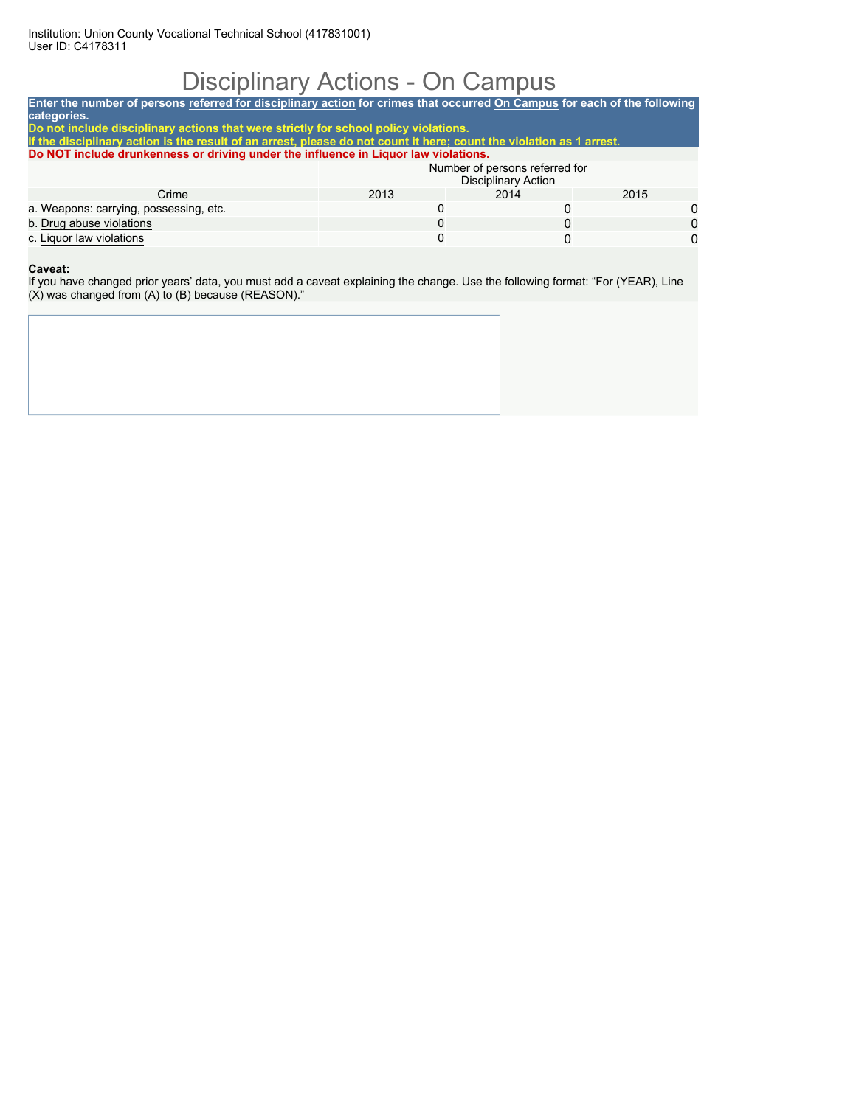# Disciplinary Actions - On Campus

**Enter the number of persons referred for disciplinary action for crimes that occurred On Campus for each of the following categories. Do not include disciplinary actions that were strictly for school policy violations. If the disciplinary action is the result of an arrest, please do not count it here; count the violation as 1 arrest. Do NOT include drunkenness or driving under the influence in Liquor law violations.** Number of persons referred for Disciplinary Action Crime 2013 2014 2015 a. Weapons: carrying, possessing, etc. 0 0 0 b. Drug abuse violations 0 0 0

c. Liquor law violations

#### **Caveat:**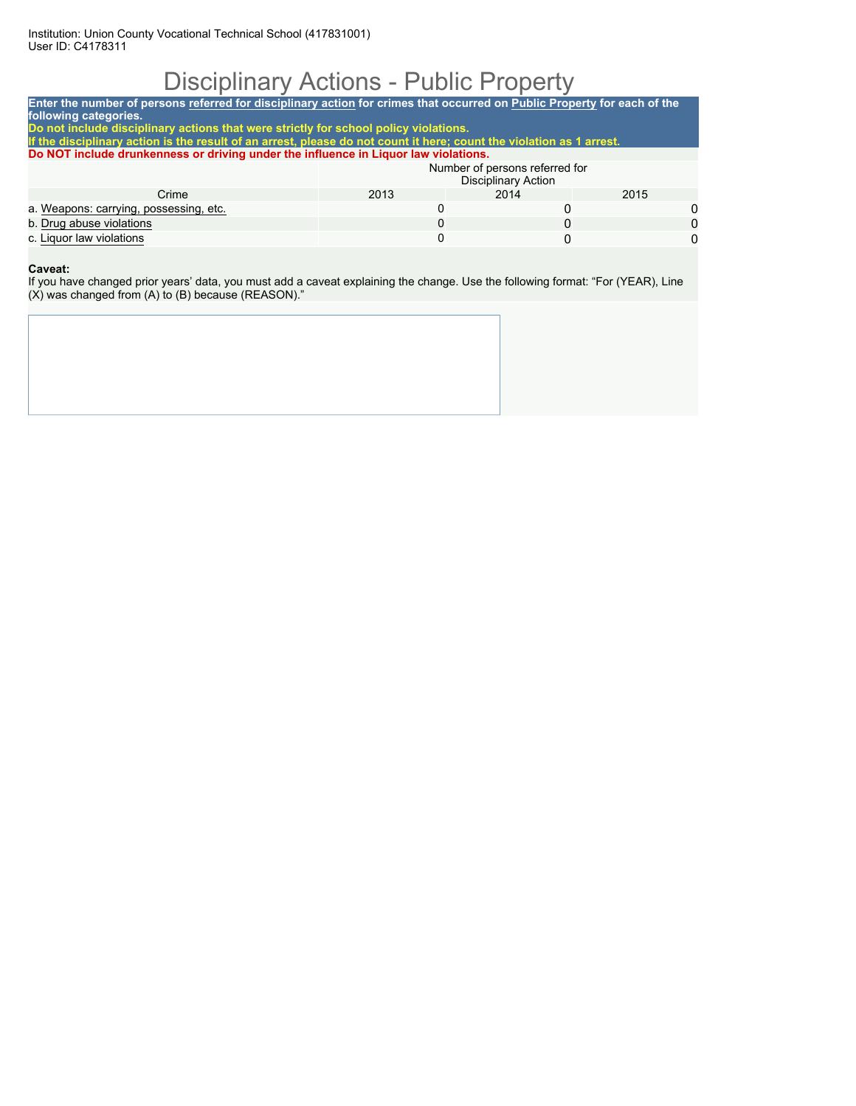# Disciplinary Actions - Public Property

| Enter the number of persons referred for disciplinary action for crimes that occurred on Public Property for each of the<br>following categories.<br>Do not include disciplinary actions that were strictly for school policy violations.<br>If the disciplinary action is the result of an arrest, please do not count it here; count the violation as 1 arrest. |   |  |  |  |  |
|-------------------------------------------------------------------------------------------------------------------------------------------------------------------------------------------------------------------------------------------------------------------------------------------------------------------------------------------------------------------|---|--|--|--|--|
|                                                                                                                                                                                                                                                                                                                                                                   |   |  |  |  |  |
|                                                                                                                                                                                                                                                                                                                                                                   |   |  |  |  |  |
|                                                                                                                                                                                                                                                                                                                                                                   |   |  |  |  |  |
|                                                                                                                                                                                                                                                                                                                                                                   |   |  |  |  |  |
| Do NOT include drunkenness or driving under the influence in Liquor law violations.                                                                                                                                                                                                                                                                               |   |  |  |  |  |
| Number of persons referred for<br><b>Disciplinary Action</b>                                                                                                                                                                                                                                                                                                      |   |  |  |  |  |
| 2013<br>Crime<br>2014<br>2015                                                                                                                                                                                                                                                                                                                                     |   |  |  |  |  |
| a. Weapons: carrying, possessing, etc.                                                                                                                                                                                                                                                                                                                            | 0 |  |  |  |  |
| b. Drug abuse violations<br>0<br>0                                                                                                                                                                                                                                                                                                                                |   |  |  |  |  |
| c. Liquor law violations<br>0                                                                                                                                                                                                                                                                                                                                     | 0 |  |  |  |  |

#### **Caveat:**